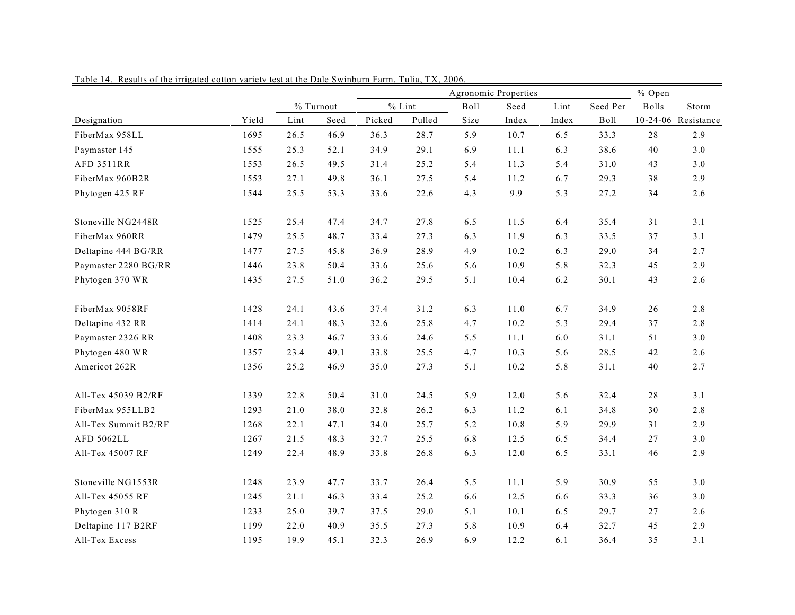|                      |       | % Open<br>Agronomic Properties |           |        |          |      |          |       |          |              |                     |  |
|----------------------|-------|--------------------------------|-----------|--------|----------|------|----------|-------|----------|--------------|---------------------|--|
|                      |       |                                | % Turnout |        | $%$ Lint | Boll | Seed     | Lint  | Seed Per | <b>Bolls</b> | Storm               |  |
| Designation          | Yield | Lint                           | Seed      | Picked | Pulled   | Size | Index    | Index | Boll     |              | 10-24-06 Resistance |  |
| FiberMax 958LL       | 1695  | 26.5                           | 46.9      | 36.3   | 28.7     | 5.9  | 10.7     | 6.5   | 33.3     | 28           | 2.9                 |  |
| Paymaster 145        | 1555  | 25.3                           | 52.1      | 34.9   | 29.1     | 6.9  | 11.1     | 6.3   | 38.6     | 40           | 3.0                 |  |
| <b>AFD 3511RR</b>    | 1553  | 26.5                           | 49.5      | 31.4   | 25.2     | 5.4  | 11.3     | 5.4   | 31.0     | 43           | 3.0                 |  |
| FiberMax 960B2R      | 1553  | 27.1                           | 49.8      | 36.1   | 27.5     | 5.4  | 11.2     | 6.7   | 29.3     | 38           | 2.9                 |  |
| Phytogen 425 RF      | 1544  | 25.5                           | 53.3      | 33.6   | 22.6     | 4.3  | 9.9      | 5.3   | 27.2     | 34           | 2.6                 |  |
| Stoneville NG2448R   | 1525  | 25.4                           | 47.4      | 34.7   | 27.8     | 6.5  | 11.5     | 6.4   | 35.4     | 31           | 3.1                 |  |
| FiberMax 960RR       | 1479  | 25.5                           | 48.7      | 33.4   | 27.3     | 6.3  | 11.9     | 6.3   | 33.5     | 37           | 3.1                 |  |
| Deltapine 444 BG/RR  | 1477  | 27.5                           | 45.8      | 36.9   | 28.9     | 4.9  | 10.2     | 6.3   | 29.0     | 34           | 2.7                 |  |
| Paymaster 2280 BG/RR | 1446  | 23.8                           | 50.4      | 33.6   | 25.6     | 5.6  | 10.9     | 5.8   | 32.3     | 45           | 2.9                 |  |
| Phytogen 370 WR      | 1435  | 27.5                           | 51.0      | 36.2   | 29.5     | 5.1  | 10.4     | 6.2   | 30.1     | 43           | 2.6                 |  |
| FiberMax 9058RF      | 1428  | 24.1                           | 43.6      | 37.4   | 31.2     | 6.3  | $11.0\,$ | 6.7   | 34.9     | 26           | 2.8                 |  |
| Deltapine 432 RR     | 1414  | 24.1                           | 48.3      | 32.6   | 25.8     | 4.7  | 10.2     | 5.3   | 29.4     | 37           | 2.8                 |  |
| Paymaster 2326 RR    | 1408  | 23.3                           | 46.7      | 33.6   | 24.6     | 5.5  | 11.1     | 6.0   | 31.1     | 51           | $3.0$               |  |
| Phytogen 480 WR      | 1357  | 23.4                           | 49.1      | 33.8   | 25.5     | 4.7  | 10.3     | 5.6   | 28.5     | 42           | 2.6                 |  |
| Americot 262R        | 1356  | 25.2                           | 46.9      | 35.0   | 27.3     | 5.1  | 10.2     | 5.8   | 31.1     | 40           | 2.7                 |  |
| All-Tex 45039 B2/RF  | 1339  | 22.8                           | 50.4      | 31.0   | 24.5     | 5.9  | 12.0     | 5.6   | 32.4     | $2\sqrt{8}$  | 3.1                 |  |
| FiberMax 955LLB2     | 1293  | 21.0                           | 38.0      | 32.8   | 26.2     | 6.3  | 11.2     | 6.1   | 34.8     | 30           | 2.8                 |  |
| All-Tex Summit B2/RF | 1268  | 22.1                           | 47.1      | 34.0   | 25.7     | 5.2  | 10.8     | 5.9   | 29.9     | 31           | 2.9                 |  |
| AFD 5062LL           | 1267  | 21.5                           | 48.3      | 32.7   | 25.5     | 6.8  | 12.5     | 6.5   | 34.4     | 27           | 3.0                 |  |
| All-Tex 45007 RF     | 1249  | 22.4                           | 48.9      | 33.8   | 26.8     | 6.3  | 12.0     | 6.5   | 33.1     | 46           | 2.9                 |  |
| Stoneville NG1553R   | 1248  | 23.9                           | 47.7      | 33.7   | 26.4     | 5.5  | 11.1     | 5.9   | 30.9     | 55           | 3.0                 |  |
| All-Tex 45055 RF     | 1245  | 21.1                           | 46.3      | 33.4   | 25.2     | 6.6  | 12.5     | 6.6   | 33.3     | 36           | 3.0                 |  |
| Phytogen 310 R       | 1233  | 25.0                           | 39.7      | 37.5   | 29.0     | 5.1  | 10.1     | 6.5   | 29.7     | 27           | 2.6                 |  |
| Deltapine 117 B2RF   | 1199  | 22.0                           | 40.9      | 35.5   | 27.3     | 5.8  | 10.9     | 6.4   | 32.7     | 45           | 2.9                 |  |
| All-Tex Excess       | 1195  | 19.9                           | 45.1      | 32.3   | 26.9     | 6.9  | 12.2     | 6.1   | 36.4     | 35           | 3.1                 |  |

Table 14. Results of the irrigated cotton variety test at the Dale Swinburn Farm, Tulia, TX, 2006.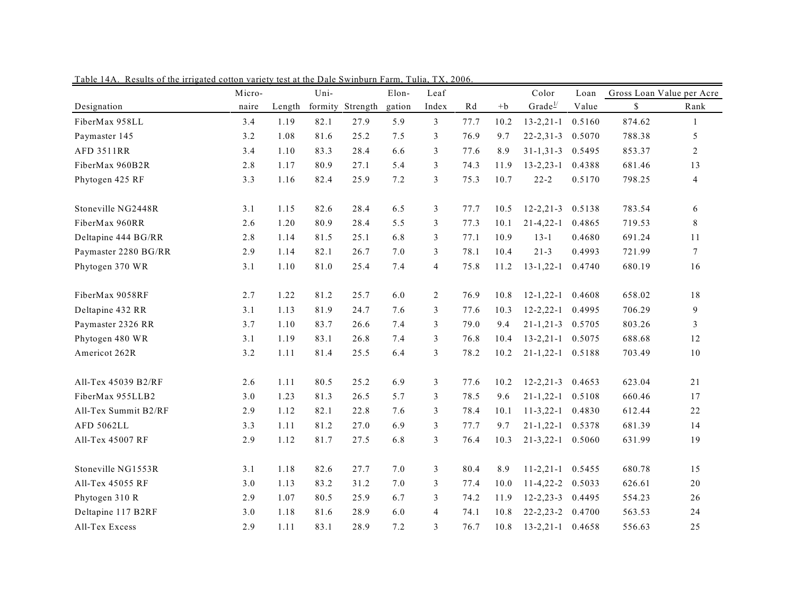|                      | Micro- |        | Uni- |                  | Elon-  | Leaf           |      |      | Color              | Loan   | Gross Loan Value per Acre |                |
|----------------------|--------|--------|------|------------------|--------|----------------|------|------|--------------------|--------|---------------------------|----------------|
| Designation          | naire  | Length |      | formity Strength | gation | Index          | Rd   | $+b$ | Grade <sup>1</sup> | Value  | \$                        | Rank           |
| FiberMax 958LL       | 3.4    | 1.19   | 82.1 | 27.9             | 5.9    | 3              | 77.7 | 10.2 | $13 - 2, 21 - 1$   | 0.5160 | 874.62                    | $\mathbf{1}$   |
| Paymaster 145        | 3.2    | 1.08   | 81.6 | 25.2             | 7.5    | 3              | 76.9 | 9.7  | $22 - 2, 31 - 3$   | 0.5070 | 788.38                    | 5              |
| <b>AFD 3511RR</b>    | 3.4    | 1.10   | 83.3 | 28.4             | 6.6    | 3              | 77.6 | 8.9  | $31 - 1, 31 - 3$   | 0.5495 | 853.37                    | 2              |
| FiberMax 960B2R      | 2.8    | 1.17   | 80.9 | 27.1             | 5.4    | 3              | 74.3 | 11.9 | $13 - 2, 23 - 1$   | 0.4388 | 681.46                    | 13             |
| Phytogen 425 RF      | 3.3    | 1.16   | 82.4 | 25.9             | 7.2    | 3              | 75.3 | 10.7 | $22 - 2$           | 0.5170 | 798.25                    | $\overline{4}$ |
| Stoneville NG2448R   | 3.1    | 1.15   | 82.6 | 28.4             | 6.5    | 3              | 77.7 | 10.5 | $12 - 2, 21 - 3$   | 0.5138 | 783.54                    | 6              |
| FiberMax 960RR       | 2.6    | 1.20   | 80.9 | 28.4             | 5.5    | 3              | 77.3 | 10.1 | $21 - 4, 22 - 1$   | 0.4865 | 719.53                    | 8              |
| Deltapine 444 BG/RR  | 2.8    | 1.14   | 81.5 | 25.1             | 6.8    | 3              | 77.1 | 10.9 | $13 - 1$           | 0.4680 | 691.24                    | 11             |
| Paymaster 2280 BG/RR | 2.9    | 1.14   | 82.1 | 26.7             | 7.0    | 3              | 78.1 | 10.4 | $21 - 3$           | 0.4993 | 721.99                    | $\overline{7}$ |
| Phytogen 370 WR      | 3.1    | 1.10   | 81.0 | 25.4             | 7.4    | $\overline{4}$ | 75.8 | 11.2 | $13 - 1, 22 - 1$   | 0.4740 | 680.19                    | 16             |
| FiberMax 9058RF      | 2.7    | 1.22   | 81.2 | 25.7             | 6.0    | 2              | 76.9 | 10.8 | $12 - 1, 22 - 1$   | 0.4608 | 658.02                    | 18             |
| Deltapine 432 RR     | 3.1    | 1.13   | 81.9 | 24.7             | 7.6    | 3              | 77.6 | 10.3 | $12 - 2, 22 - 1$   | 0.4995 | 706.29                    | 9              |
| Paymaster 2326 RR    | 3.7    | 1.10   | 83.7 | 26.6             | 7.4    | 3              | 79.0 | 9.4  | $21 - 1, 21 - 3$   | 0.5705 | 803.26                    | 3              |
| Phytogen 480 WR      | 3.1    | 1.19   | 83.1 | 26.8             | 7.4    | 3              | 76.8 | 10.4 | $13 - 2, 21 - 1$   | 0.5075 | 688.68                    | 12             |
| Americot 262R        | 3.2    | 1.11   | 81.4 | 25.5             | 6.4    | 3              | 78.2 | 10.2 | $21 - 1, 22 - 1$   | 0.5188 | 703.49                    | $10$           |
| All-Tex 45039 B2/RF  | 2.6    | 1.11   | 80.5 | 25.2             | 6.9    | 3              | 77.6 | 10.2 | $12 - 2, 21 - 3$   | 0.4653 | 623.04                    | 21             |
| FiberMax 955LLB2     | 3.0    | 1.23   | 81.3 | 26.5             | 5.7    | 3              | 78.5 | 9.6  | $21 - 1, 22 - 1$   | 0.5108 | 660.46                    | 17             |
| All-Tex Summit B2/RF | 2.9    | 1.12   | 82.1 | 22.8             | 7.6    | 3              | 78.4 | 10.1 | $11 - 3, 22 - 1$   | 0.4830 | 612.44                    | 22             |
| <b>AFD 5062LL</b>    | 3.3    | 1.11   | 81.2 | 27.0             | 6.9    | 3              | 77.7 | 9.7  | $21 - 1, 22 - 1$   | 0.5378 | 681.39                    | 14             |
| All-Tex 45007 RF     | 2.9    | 1.12   | 81.7 | 27.5             | 6.8    | 3              | 76.4 | 10.3 | $21 - 3, 22 - 1$   | 0.5060 | 631.99                    | 19             |
| Stoneville NG1553R   | 3.1    | 1.18   | 82.6 | 27.7             | 7.0    | 3              | 80.4 | 8.9  | $11 - 2, 21 - 1$   | 0.5455 | 680.78                    | 15             |
| All-Tex 45055 RF     | 3.0    | 1.13   | 83.2 | 31.2             | 7.0    | 3              | 77.4 | 10.0 | $11 - 4, 22 - 2$   | 0.5033 | 626.61                    | $20\,$         |
| Phytogen 310 R       | 2.9    | 1.07   | 80.5 | 25.9             | 6.7    | 3              | 74.2 | 11.9 | $12 - 2, 23 - 3$   | 0.4495 | 554.23                    | 26             |
| Deltapine 117 B2RF   | 3.0    | 1.18   | 81.6 | 28.9             | 6.0    | $\overline{4}$ | 74.1 | 10.8 | $22 - 2, 23 - 2$   | 0.4700 | 563.53                    | 24             |
| All-Tex Excess       | 2.9    | 1.11   | 83.1 | 28.9             | 7.2    | 3              | 76.7 | 10.8 | $13 - 2, 21 - 1$   | 0.4658 | 556.63                    | 25             |

Table 14A. Results of the irrigated cotton variety test at the Dale Swinburn Farm, Tulia, TX, 2006.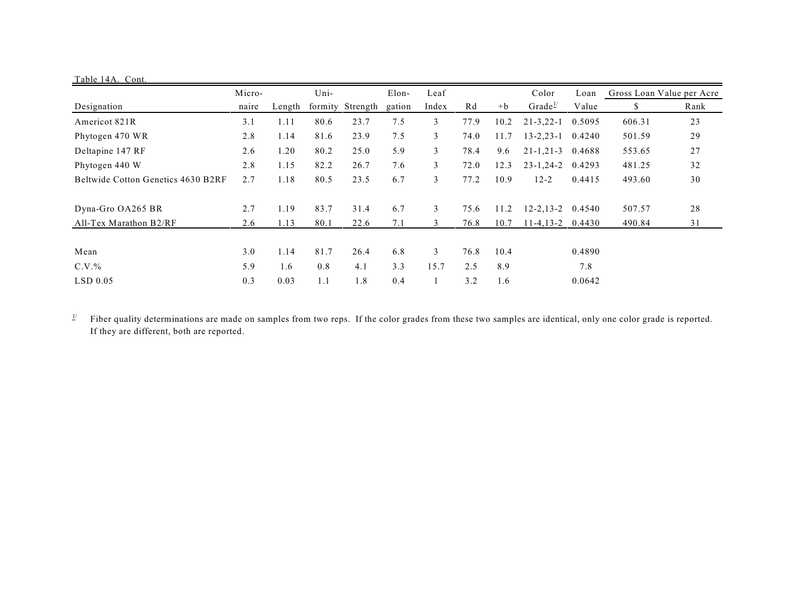| Table 14A. Cont.                   |        |        |      |                  |        |       |      |       |                     |                           |        |      |
|------------------------------------|--------|--------|------|------------------|--------|-------|------|-------|---------------------|---------------------------|--------|------|
|                                    | Micro- | Uni-   |      | Elon-            | Leaf   |       |      | Color | Loan                | Gross Loan Value per Acre |        |      |
| Designation                        | naire  | Length |      | formity Strength | gation | Index | Rd   | $+b$  | Grade $\frac{1}{2}$ | Value                     | S      | Rank |
| Americot 821R                      | 3.1    | 1.11   | 80.6 | 23.7             | 7.5    | 3     | 77.9 | 10.2  | $21 - 3, 22 - 1$    | 0.5095                    | 606.31 | 23   |
| Phytogen 470 WR                    | 2.8    | 1.14   | 81.6 | 23.9             | 7.5    | 3     | 74.0 | 11.7  | $13 - 2, 23 - 1$    | 0.4240                    | 501.59 | 29   |
| Deltapine 147 RF                   | 2.6    | 1.20   | 80.2 | 25.0             | 5.9    | 3     | 78.4 | 9.6   | $21 - 1, 21 - 3$    | 0.4688                    | 553.65 | 27   |
| Phytogen 440 W                     | 2.8    | 1.15   | 82.2 | 26.7             | 7.6    | 3     | 72.0 | 12.3  | $23 - 1, 24 - 2$    | 0.4293                    | 481.25 | 32   |
| Beltwide Cotton Genetics 4630 B2RF | 2.7    | 1.18   | 80.5 | 23.5             | 6.7    | 3     | 77.2 | 10.9  | $12 - 2$            | 0.4415                    | 493.60 | 30   |
| Dyna-Gro OA265 BR                  | 2.7    | 1.19   | 83.7 | 31.4             | 6.7    | 3     | 75.6 | 11.2  | $12 - 2, 13 - 2$    | 0.4540                    | 507.57 | 28   |
| All-Tex Marathon B2/RF             | 2.6    | 1.13   | 80.1 | 22.6             | 7.1    | 3     | 76.8 | 10.7  | $11-4, 13-2$        | 0.4430                    | 490.84 | 31   |
|                                    |        |        |      |                  |        |       |      |       |                     |                           |        |      |
| Mean                               | 3.0    | 1.14   | 81.7 | 26.4             | 6.8    | 3     | 76.8 | 10.4  |                     | 0.4890                    |        |      |
| $C.V.$ %                           | 5.9    | 1.6    | 0.8  | 4.1              | 3.3    | 15.7  | 2.5  | 8.9   |                     | 7.8                       |        |      |
| $LSD$ 0.05                         | 0.3    | 0.03   | 1.1  | 1.8              | 0.4    |       | 3.2  | 1.6   |                     | 0.0642                    |        |      |

 $\frac{1}{2}$  Fiber quality determinations are made on samples from two reps. If the color grades from these two samples are identical, only one color grade is reported. If they are different, both are reported.